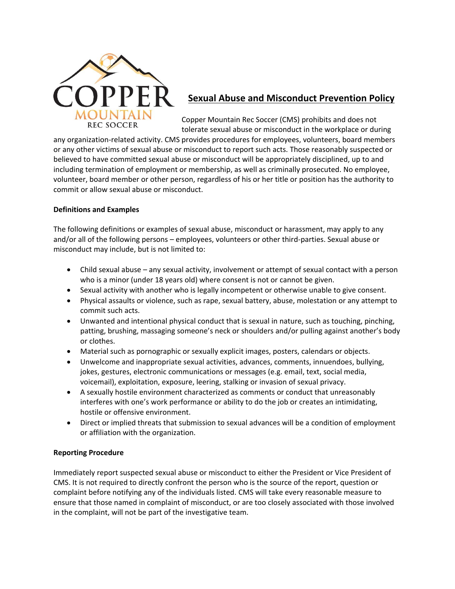

# **Sexual Abuse and Misconduct Prevention Policy**

Copper Mountain Rec Soccer (CMS) prohibits and does not tolerate sexual abuse or misconduct in the workplace or during

any organization-related activity. CMS provides procedures for employees, volunteers, board members or any other victims of sexual abuse or misconduct to report such acts. Those reasonably suspected or believed to have committed sexual abuse or misconduct will be appropriately disciplined, up to and including termination of employment or membership, as well as criminally prosecuted. No employee, volunteer, board member or other person, regardless of his or her title or position has the authority to commit or allow sexual abuse or misconduct.

### **Definitions and Examples**

The following definitions or examples of sexual abuse, misconduct or harassment, may apply to any and/or all of the following persons – employees, volunteers or other third-parties. Sexual abuse or misconduct may include, but is not limited to:

- Child sexual abuse any sexual activity, involvement or attempt of sexual contact with a person who is a minor (under 18 years old) where consent is not or cannot be given.
- Sexual activity with another who is legally incompetent or otherwise unable to give consent.
- Physical assaults or violence, such as rape, sexual battery, abuse, molestation or any attempt to commit such acts.
- Unwanted and intentional physical conduct that is sexual in nature, such as touching, pinching, patting, brushing, massaging someone's neck or shoulders and/or pulling against another's body or clothes.
- Material such as pornographic or sexually explicit images, posters, calendars or objects.
- Unwelcome and inappropriate sexual activities, advances, comments, innuendoes, bullying, jokes, gestures, electronic communications or messages (e.g. email, text, social media, voicemail), exploitation, exposure, leering, stalking or invasion of sexual privacy.
- A sexually hostile environment characterized as comments or conduct that unreasonably interferes with one's work performance or ability to do the job or creates an intimidating, hostile or offensive environment.
- Direct or implied threats that submission to sexual advances will be a condition of employment or affiliation with the organization.

## **Reporting Procedure**

Immediately report suspected sexual abuse or misconduct to either the President or Vice President of CMS. It is not required to directly confront the person who is the source of the report, question or complaint before notifying any of the individuals listed. CMS will take every reasonable measure to ensure that those named in complaint of misconduct, or are too closely associated with those involved in the complaint, will not be part of the investigative team.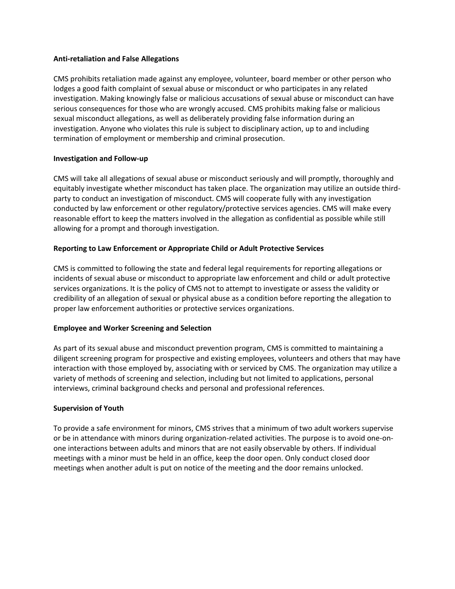#### **Anti-retaliation and False Allegations**

CMS prohibits retaliation made against any employee, volunteer, board member or other person who lodges a good faith complaint of sexual abuse or misconduct or who participates in any related investigation. Making knowingly false or malicious accusations of sexual abuse or misconduct can have serious consequences for those who are wrongly accused. CMS prohibits making false or malicious sexual misconduct allegations, as well as deliberately providing false information during an investigation. Anyone who violates this rule is subject to disciplinary action, up to and including termination of employment or membership and criminal prosecution.

#### **Investigation and Follow-up**

CMS will take all allegations of sexual abuse or misconduct seriously and will promptly, thoroughly and equitably investigate whether misconduct has taken place. The organization may utilize an outside thirdparty to conduct an investigation of misconduct. CMS will cooperate fully with any investigation conducted by law enforcement or other regulatory/protective services agencies. CMS will make every reasonable effort to keep the matters involved in the allegation as confidential as possible while still allowing for a prompt and thorough investigation.

### **Reporting to Law Enforcement or Appropriate Child or Adult Protective Services**

CMS is committed to following the state and federal legal requirements for reporting allegations or incidents of sexual abuse or misconduct to appropriate law enforcement and child or adult protective services organizations. It is the policy of CMS not to attempt to investigate or assess the validity or credibility of an allegation of sexual or physical abuse as a condition before reporting the allegation to proper law enforcement authorities or protective services organizations.

### **Employee and Worker Screening and Selection**

As part of its sexual abuse and misconduct prevention program, CMS is committed to maintaining a diligent screening program for prospective and existing employees, volunteers and others that may have interaction with those employed by, associating with or serviced by CMS. The organization may utilize a variety of methods of screening and selection, including but not limited to applications, personal interviews, criminal background checks and personal and professional references.

#### **Supervision of Youth**

To provide a safe environment for minors, CMS strives that a minimum of two adult workers supervise or be in attendance with minors during organization-related activities. The purpose is to avoid one-onone interactions between adults and minors that are not easily observable by others. If individual meetings with a minor must be held in an office, keep the door open. Only conduct closed door meetings when another adult is put on notice of the meeting and the door remains unlocked.